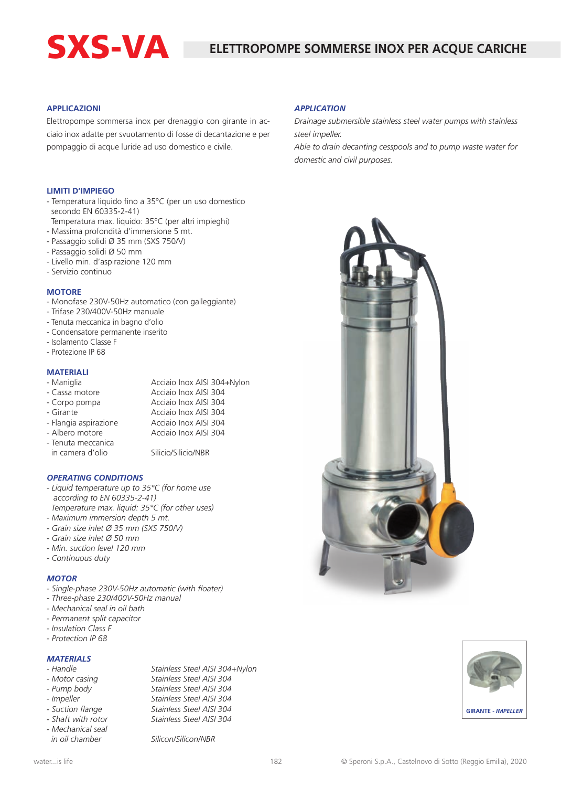# SXS-VA

#### **APPLICAZIONI**

Elettropompe sommersa inox per drenaggio con girante in acciaio inox adatte per svuotamento di fosse di decantazione e per pompaggio di acque luride ad uso domestico e civile.

#### **LIMITI D'IMPIEGO**

- Temperatura liquido fino a 35°C (per un uso domestico secondo EN 60335-2-41)
- Temperatura max. liquido: 35°C (per altri impieghi)
- Massima profondità d'immersione 5 mt.
- Passaggio solidi Ø 35 mm (SXS 750/V)
- Passaggio solidi Ø 50 mm
- Livello min. d'aspirazione 120 mm
- Servizio continuo

#### **MOTORE**

- Monofase 230V-50Hz automatico (con galleggiante)
- Trifase 230/400V-50Hz manuale
- Tenuta meccanica in bagno d'olio
- Condensatore permanente inserito
- Isolamento Classe F
- Protezione IP 68

#### **MATERIALI**

| - Maniglia            | Acciaio Inox AISI 304+Nylon |
|-----------------------|-----------------------------|
| - Cassa motore        | Acciaio Inox AISI 304       |
| - Corpo pompa         | Acciaio Inox AISI 304       |
| - Girante             | Acciaio Inox AISI 304       |
| - Flangia aspirazione | Acciaio Inox AISI 304       |
| - Albero motore       | Acciaio Inox AISI 304       |

- Tenuta meccanica

in camera d'olio Silicio/Silicio/NBR

#### *OPERATING CONDITIONS*

- *Liquid temperature up to 35°C (for home use according to EN 60335-2-41) Temperature max. liquid: 35°C (for other uses)*
- *Maximum immersion depth 5 mt.*
- *Grain size inlet Ø 35 mm (SXS 750/V)*
- *Grain size inlet Ø 50 mm*
- *Min. suction level 120 mm*
- *Continuous duty*

#### *MOTOR*

- *Single-phase 230V-50Hz automatic (with floater)*
- *Three-phase 230/400V-50Hz manual*
- *Mechanical seal in oil bath*
- *Permanent split capacitor*
- *Insulation Class F*
- *Protection IP 68*

#### *MATERIALS*

- 
- 
- 
- 
- 
- 
- *Mechanical seal*

*- Handle Stainless Steel AISI 304+Nylon - Motor casing Stainless Steel AISI 304 - Pump body Stainless Steel AISI 304 - Impeller Stainless Steel AISI 304 - Suction flange Stainless Steel AISI 304 - Shaft with rotor Stainless Steel AISI 304*

 *in oil chamber Silicon/Silicon/NBR*

### *APPLICATION*

*Drainage submersible stainless steel water pumps with stainless steel impeller.*

*Able to drain decanting cesspools and to pump waste water for domestic and civil purposes.*





| Acciaio Inox AISI 304 |  |
|-----------------------|--|
| Acciaio Inox AISI 304 |  |
| Acciaio Inox AISI 304 |  |
| Acciaio Inox AISI 304 |  |
|                       |  |
|                       |  |